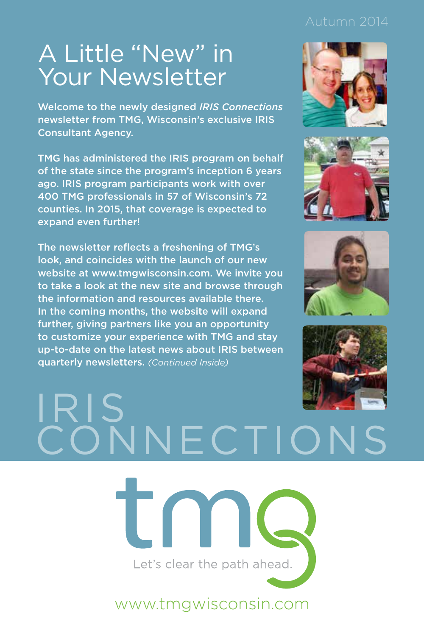# A Little "New" in Your Newsletter

Welcome to the newly designed *IRIS Connections* newsletter from TMG, Wisconsin's exclusive IRIS Consultant Agency.

TMG has administered the IRIS program on behalf of the state since the program's inception 6 years ago. IRIS program participants work with over 400 TMG professionals in 57 of Wisconsin's 72 counties. In 2015, that coverage is expected to expand even further!

The newsletter reflects a freshening of TMG's look, and coincides with the launch of our new website at www.tmgwisconsin.com. We invite you to take a look at the new site and browse through the information and resources available there. In the coming months, the website will expand further, giving partners like you an opportunity to customize your experience with TMG and stay up-to-date on the latest news about IRIS between quarterly newsletters. *(Continued Inside)*









# IRIS NECTIO



www.tmgwisconsin.com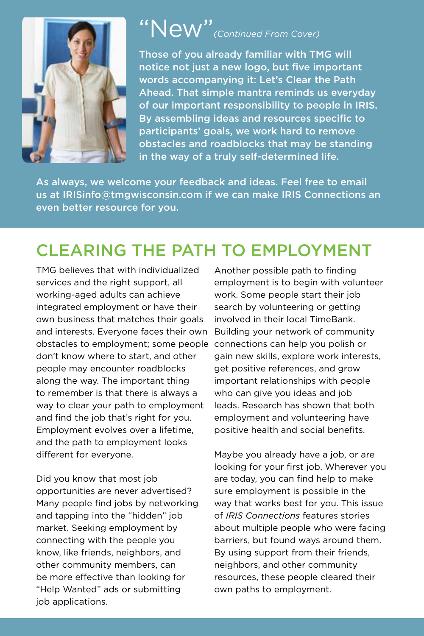

#### "New"*(Continued From Cover)*

Those of you already familiar with TMG will notice not just a new logo, but five important words accompanying it: Let's Clear the Path Ahead. That simple mantra reminds us everyday of our important responsibility to people in IRIS. By assembling ideas and resources specific to participants' goals, we work hard to remove obstacles and roadblocks that may be standing in the way of a truly self-determined life.

As always, we welcome your feedback and ideas. Feel free to email us at IRISinfo@tmgwisconsin.com if we can make IRIS Connections an even better resource for you.

#### CLEARING THE PATH TO EMPLOYMENT

TMG believes that with individualized services and the right support, all working-aged adults can achieve integrated employment or have their own business that matches their goals and interests. Everyone faces their own obstacles to employment; some people connections can help you polish or don't know where to start, and other people may encounter roadblocks along the way. The important thing to remember is that there is always a way to clear your path to employment and find the job that's right for you. Employment evolves over a lifetime, and the path to employment looks different for everyone.

Did you know that most job opportunities are never advertised? Many people find jobs by networking and tapping into the "hidden" job market. Seeking employment by connecting with the people you know, like friends, neighbors, and other community members, can be more effective than looking for "Help Wanted" ads or submitting job applications.

Another possible path to finding employment is to begin with volunteer work. Some people start their job search by volunteering or getting involved in their local TimeBank. Building your network of community gain new skills, explore work interests, get positive references, and grow important relationships with people who can give you ideas and job leads. Research has shown that both employment and volunteering have positive health and social benefits.

Maybe you already have a job, or are looking for your first job. Wherever you are today, you can find help to make sure employment is possible in the way that works best for you. This issue of *IRIS Connections* features stories about multiple people who were facing barriers, but found ways around them. By using support from their friends, neighbors, and other community resources, these people cleared their own paths to employment.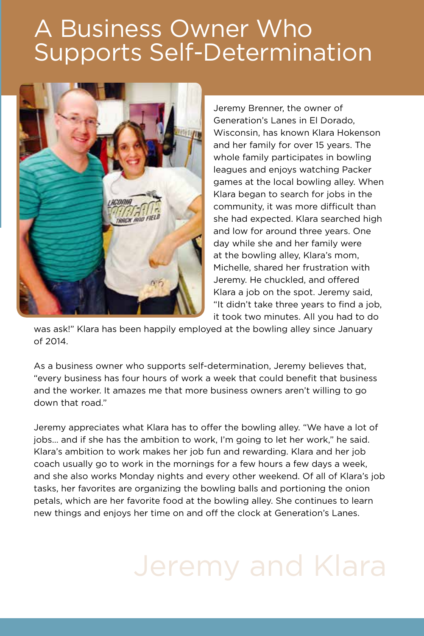## A Business Owner Who Supports Self-Determination



Jeremy Brenner, the owner of Generation's Lanes in El Dorado, Wisconsin, has known Klara Hokenson and her family for over 15 years. The whole family participates in bowling leagues and enjoys watching Packer games at the local bowling alley. When Klara began to search for jobs in the community, it was more difficult than she had expected. Klara searched high and low for around three years. One day while she and her family were at the bowling alley, Klara's mom, Michelle, shared her frustration with Jeremy. He chuckled, and offered Klara a job on the spot. Jeremy said, "It didn't take three years to find a job, it took two minutes. All you had to do

was ask!" Klara has been happily employed at the bowling alley since January of 2014.

As a business owner who supports self-determination, Jeremy believes that, "every business has four hours of work a week that could benefit that business and the worker. It amazes me that more business owners aren't willing to go down that road."

Jeremy appreciates what Klara has to offer the bowling alley. "We have a lot of jobs… and if she has the ambition to work, I'm going to let her work," he said. Klara's ambition to work makes her job fun and rewarding. Klara and her job coach usually go to work in the mornings for a few hours a few days a week, and she also works Monday nights and every other weekend. Of all of Klara's job tasks, her favorites are organizing the bowling balls and portioning the onion petals, which are her favorite food at the bowling alley. She continues to learn new things and enjoys her time on and off the clock at Generation's Lanes.

# Jeremy and Klara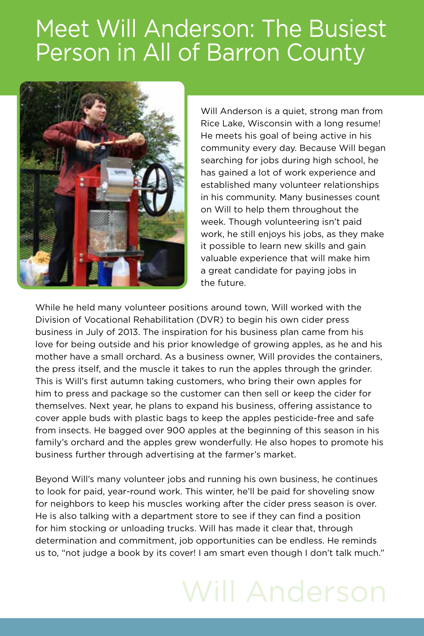# Meet Will Anderson: The Busiest Person in All of Barron County



Will Anderson is a quiet, strong man from Rice Lake, Wisconsin with a long resume! He meets his goal of being active in his community every day. Because Will began searching for jobs during high school, he has gained a lot of work experience and established many volunteer relationships in his community. Many businesses count on Will to help them throughout the week. Though volunteering isn't paid work, he still enjoys his jobs, as they make it possible to learn new skills and gain valuable experience that will make him a great candidate for paying jobs in the future.

While he held many volunteer positions around town, Will worked with the Division of Vocational Rehabilitation (DVR) to begin his own cider press business in July of 2013. The inspiration for his business plan came from his love for being outside and his prior knowledge of growing apples, as he and his mother have a small orchard. As a business owner, Will provides the containers, the press itself, and the muscle it takes to run the apples through the grinder. This is Will's first autumn taking customers, who bring their own apples for him to press and package so the customer can then sell or keep the cider for themselves. Next year, he plans to expand his business, offering assistance to cover apple buds with plastic bags to keep the apples pesticide-free and safe from insects. He bagged over 900 apples at the beginning of this season in his family's orchard and the apples grew wonderfully. He also hopes to promote his business further through advertising at the farmer's market.

Beyond Will's many volunteer jobs and running his own business, he continues to look for paid, year-round work. This winter, he'll be paid for shoveling snow for neighbors to keep his muscles working after the cider press season is over. He is also talking with a department store to see if they can find a position for him stocking or unloading trucks. Will has made it clear that, through determination and commitment, job opportunities can be endless. He reminds us to, "not judge a book by its cover! I am smart even though I don't talk much."

# Will Anderson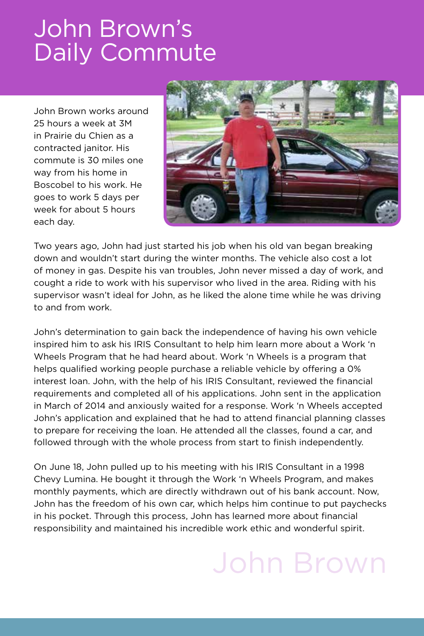## John Brown's Daily Commute

John Brown works around 25 hours a week at 3M in Prairie du Chien as a contracted janitor. His commute is 30 miles one way from his home in Boscobel to his work. He goes to work 5 days per week for about 5 hours each day.



Two years ago, John had just started his job when his old van began breaking down and wouldn't start during the winter months. The vehicle also cost a lot of money in gas. Despite his van troubles, John never missed a day of work, and cought a ride to work with his supervisor who lived in the area. Riding with his supervisor wasn't ideal for John, as he liked the alone time while he was driving to and from work.

John's determination to gain back the independence of having his own vehicle inspired him to ask his IRIS Consultant to help him learn more about a Work 'n Wheels Program that he had heard about. Work 'n Wheels is a program that helps qualified working people purchase a reliable vehicle by offering a 0% interest loan. John, with the help of his IRIS Consultant, reviewed the financial requirements and completed all of his applications. John sent in the application in March of 2014 and anxiously waited for a response. Work 'n Wheels accepted John's application and explained that he had to attend financial planning classes to prepare for receiving the loan. He attended all the classes, found a car, and followed through with the whole process from start to finish independently.

On June 18, John pulled up to his meeting with his IRIS Consultant in a 1998 Chevy Lumina. He bought it through the Work 'n Wheels Program, and makes monthly payments, which are directly withdrawn out of his bank account. Now, John has the freedom of his own car, which helps him continue to put paychecks in his pocket. Through this process, John has learned more about financial responsibility and maintained his incredible work ethic and wonderful spirit.

# John Brown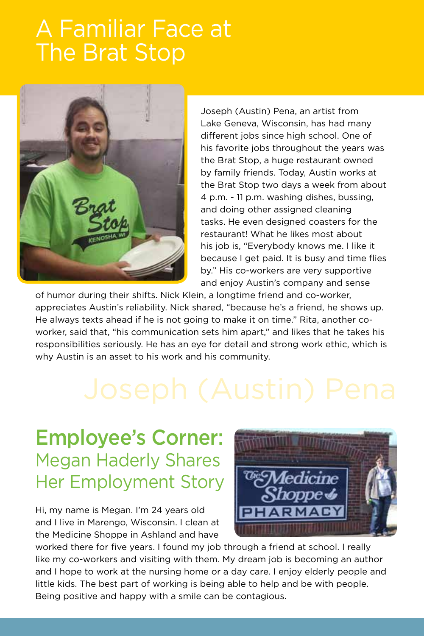#### A Familiar Face at The Brat Stop



Joseph (Austin) Pena, an artist from Lake Geneva, Wisconsin, has had many different jobs since high school. One of his favorite jobs throughout the years was the Brat Stop, a huge restaurant owned by family friends. Today, Austin works at the Brat Stop two days a week from about 4 p.m. - 11 p.m. washing dishes, bussing, and doing other assigned cleaning tasks. He even designed coasters for the restaurant! What he likes most about his job is, "Everybody knows me. I like it because I get paid. It is busy and time flies by." His co-workers are very supportive and enjoy Austin's company and sense

of humor during their shifts. Nick Klein, a longtime friend and co-worker, appreciates Austin's reliability. Nick shared, "because he's a friend, he shows up. He always texts ahead if he is not going to make it on time." Rita, another coworker, said that, "his communication sets him apart," and likes that he takes his responsibilities seriously. He has an eye for detail and strong work ethic, which is why Austin is an asset to his work and his community.

#### Employee's Corner: Megan Haderly Shares Her Employment Story

Hi, my name is Megan. I'm 24 years old and I live in Marengo, Wisconsin. I clean at the Medicine Shoppe in Ashland and have



worked there for five years. I found my job through a friend at school. I really like my co-workers and visiting with them. My dream job is becoming an author and I hope to work at the nursing home or a day care. I enjoy elderly people and little kids. The best part of working is being able to help and be with people. Being positive and happy with a smile can be contagious.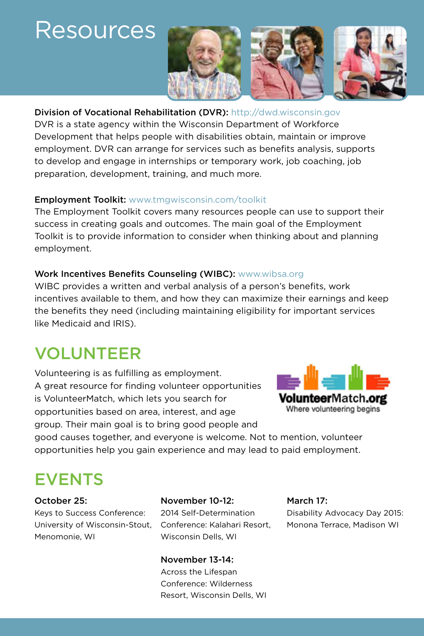#### Resources



#### Division of Vocational Rehabilitation (DVR): http://dwd.wisconsin.gov

DVR is a state agency within the Wisconsin Department of Workforce Development that helps people with disabilities obtain, maintain or improve employment. DVR can arrange for services such as benefits analysis, supports to develop and engage in internships or temporary work, job coaching, job preparation, development, training, and much more.

#### **Employment Toolkit:** www.tmgwisconsin.com/toolkit

The Employment Toolkit covers many resources people can use to support their success in creating goals and outcomes. The main goal of the Employment Toolkit is to provide information to consider when thinking about and planning employment.

#### Work Incentives Benefits Counseling (WIBC): www.wibsa.org

WIBC provides a written and verbal analysis of a person's benefits, work incentives available to them, and how they can maximize their earnings and keep the benefits they need (including maintaining eligibility for important services like Medicaid and IRIS).

#### VOLUNTEER

Volunteering is as fulfilling as employment. A great resource for finding volunteer opportunities is VolunteerMatch, which lets you search for opportunities based on area, interest, and age group. Their main goal is to bring good people and



good causes together, and everyone is welcome. Not to mention, volunteer opportunities help you gain experience and may lead to paid employment.

#### EVENTS

October 25: Keys to Success Conference: University of Wisconsin-Stout, Menomonie, WI

#### November 10-12:

2014 Self-Determination Conference: Kalahari Resort, Wisconsin Dells, WI

#### November 13-14:

Across the Lifespan Conference: Wilderness Resort, Wisconsin Dells, WI

#### March 17: Disability Advocacy Day 2015:

Monona Terrace, Madison WI